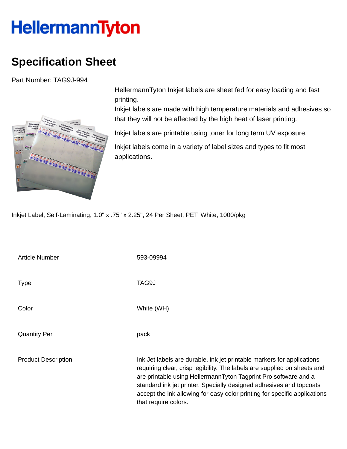## HellermannTyton

## **Specification Sheet**

Part Number: TAG9J-994



HellermannTyton Inkjet labels are sheet fed for easy loading and fast printing.

Inkjet labels are made with high temperature materials and adhesives so that they will not be affected by the high heat of laser printing.

Inkjet labels are printable using toner for long term UV exposure.

Inkjet labels come in a variety of label sizes and types to fit most applications.

Inkjet Label, Self-Laminating, 1.0" x .75" x 2.25", 24 Per Sheet, PET, White, 1000/pkg

| <b>Article Number</b>      | 593-09994                                                                                                                                                                                                                                                                                                                                                                                         |
|----------------------------|---------------------------------------------------------------------------------------------------------------------------------------------------------------------------------------------------------------------------------------------------------------------------------------------------------------------------------------------------------------------------------------------------|
| <b>Type</b>                | TAG9J                                                                                                                                                                                                                                                                                                                                                                                             |
| Color                      | White (WH)                                                                                                                                                                                                                                                                                                                                                                                        |
| <b>Quantity Per</b>        | pack                                                                                                                                                                                                                                                                                                                                                                                              |
| <b>Product Description</b> | Ink Jet labels are durable, ink jet printable markers for applications<br>requiring clear, crisp legibility. The labels are supplied on sheets and<br>are printable using HellermannTyton Tagprint Pro software and a<br>standard ink jet printer. Specially designed adhesives and topcoats<br>accept the ink allowing for easy color printing for specific applications<br>that require colors. |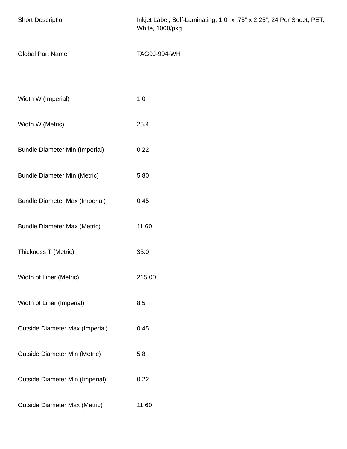| <b>Short Description</b>               | Inkjet Label, Self-Laminating, 1.0" x .75" x 2.25", 24 Per Sheet, PET,<br>White, 1000/pkg |
|----------------------------------------|-------------------------------------------------------------------------------------------|
| <b>Global Part Name</b>                | TAG9J-994-WH                                                                              |
|                                        |                                                                                           |
| Width W (Imperial)                     | $1.0\,$                                                                                   |
| Width W (Metric)                       | 25.4                                                                                      |
| <b>Bundle Diameter Min (Imperial)</b>  | 0.22                                                                                      |
| <b>Bundle Diameter Min (Metric)</b>    | 5.80                                                                                      |
| <b>Bundle Diameter Max (Imperial)</b>  | 0.45                                                                                      |
| <b>Bundle Diameter Max (Metric)</b>    | 11.60                                                                                     |
| Thickness T (Metric)                   | 35.0                                                                                      |
| Width of Liner (Metric)                | 215.00                                                                                    |
| Width of Liner (Imperial)              | 8.5                                                                                       |
| <b>Outside Diameter Max (Imperial)</b> | 0.45                                                                                      |
| <b>Outside Diameter Min (Metric)</b>   | 5.8                                                                                       |
| <b>Outside Diameter Min (Imperial)</b> | 0.22                                                                                      |
| <b>Outside Diameter Max (Metric)</b>   | 11.60                                                                                     |